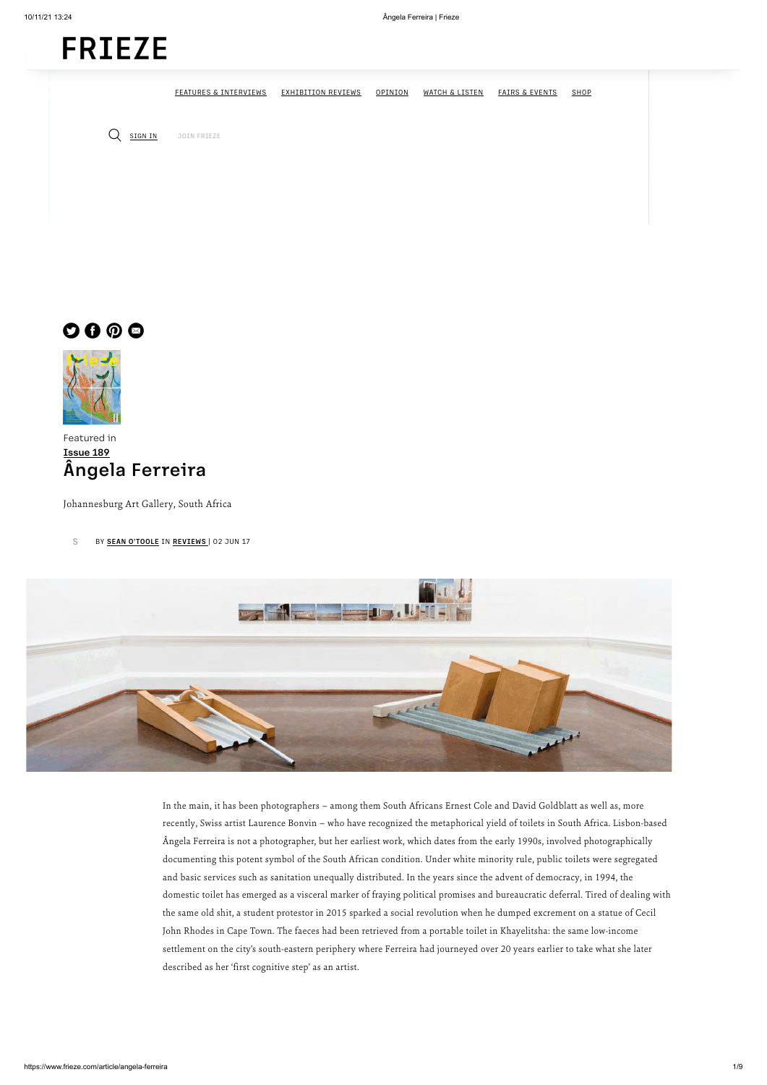Featured in [Issue 189](https://www.frieze.com/magazines/frieze-magazine/issue-189) Ângela Ferreira

Johannesburg Art Gallery, South Africa

[S](https://www.frieze.com/contributor/sean-otoole) BY **[SEAN O'TOOLE](https://www.frieze.com/contributor/sean-otoole)** IN **[REVIEWS](https://www.frieze.com/listings-and-reviews)** | 02 JUN 17



In the main, it has been photographers – among them South Africans Ernest Cole and David Goldblatt as well as, more

recently, Swiss artist Laurence Bonvin – who have recognized the metaphorical yield of toilets in South Africa. Lisbon-based Ângela Ferreira is not a photographer, but her earliest work, which dates from the early 1990s, involved photographically documenting this potent symbol of the South African condition. Under white minority rule, public toilets were segregated and basic services such as sanitation unequally distributed. In the years since the advent of democracy, in 1994, the domestic toilet has emerged as a visceral marker of fraying political promises and bureaucratic deferral. Tired of dealing with the same old shit, a student protestor in 2015 sparked a social revolution when he dumped excrement on a statue of Cecil John Rhodes in Cape Town. The faeces had been retrieved from a portable toilet in Khayelitsha: the same low-income settlement on the city's south-eastern periphery where Ferreira had journeyed over 20 years earlier to take what she later described as her 'first cognitive step' as an artist.

[FEATURES & INTERVIEWS](https://googleads.g.doubleclick.net/pcs/click?xai=AKAOjstMeWUBKBS1yx9E5a-2WM-lclDdYGbNtRq7jk35tB5Re6uPj1JfEryVKPmKVu6NLn7kfsNo95VsKmbJGBtqmsRUNc7jDZOThGHLZGA7w69z1u9mhb1KDTmpJzEhL_qPQzxGc7XfRlIthlGbPpT59sc2KtsDf2oyZdfiYJ5uI_2wzrtbNxf2jrYESXiz_2zqvmxU8bYEczYjGXKQReKFikPG7TSe5QUbjkuEdN8uWm_A-fladvNtt6xuwnxjE0yMdsVz9WfsqeI4NMAPw08PMyyfOvvFVELBVytW-8uacOcWsW7P-pi6F2MFHKPOxEWkWq8DcIPG3SzOf37NEI_LKKkT&sig=Cg0ArKJSzBM2I61uQZK1&fbs_aeid=[gw_fbsaeid]&adurl=http://www.versace.com/gb/en-gb/gifts/%3Fwt_mc%3DUK.display.frieze.holiday.holidaycampaign.images&nm=1) [EXHIBITION REVIEWS](https://www.frieze.com/listings-and-reviews) [OPINION](https://www.frieze.com/opinion) [WATCH & LISTEN](https://www.frieze.com/watch-listen) [FAIRS & EVENTS](https://www.frieze.com/fairs) [SHOP](https://shopcc.frieze.com/?utm_source=Frieze_Website&utm_medium=SHOP_NAV_BAR_Link&utm_campaign=FriezeShop)

Q **SIGN IN** [JOIN FRIEZE](https://www.frieze.com/membership)

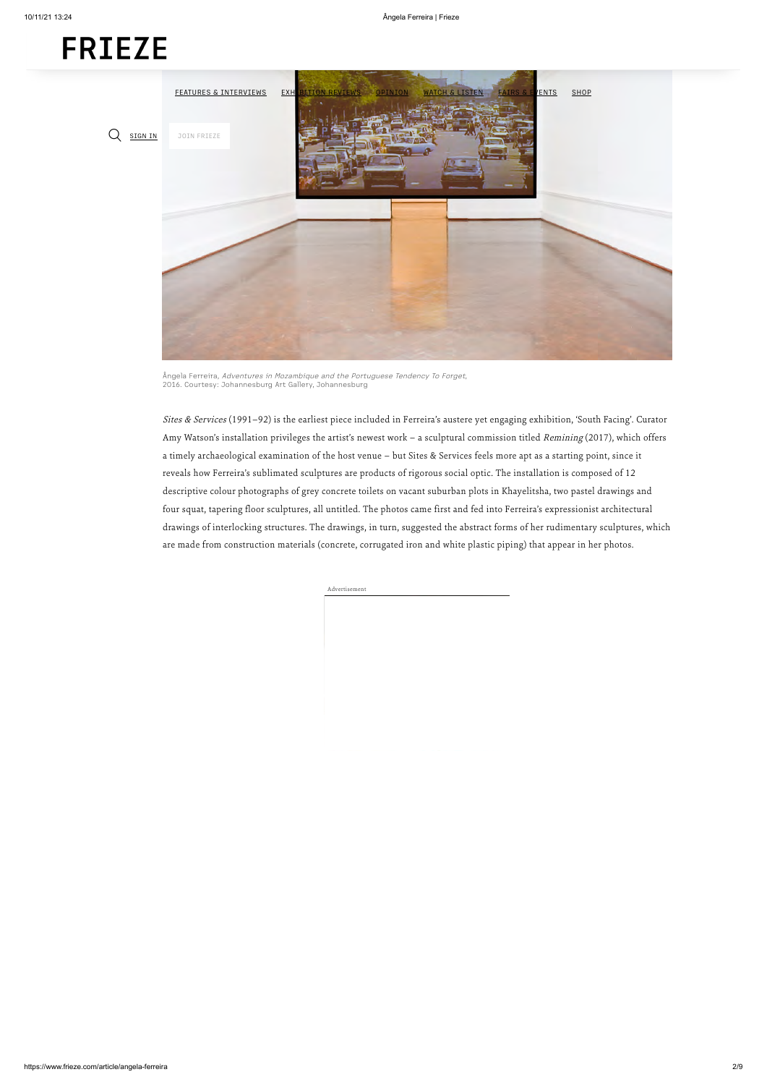Sites & Services (1991-92) is the earliest piece included in Ferreira's austere yet engaging exhibition, 'South Facing'. Curator Amy Watson's installation privileges the artist's newest work – a sculptural commission titled Remining (2017), which offers a timely archaeological examination of the host venue – but Sites & Services feels more apt as a starting point, since it reveals how Ferreira's sublimated sculptures are products of rigorous social optic. The installation is composed of 12 descriptive colour photographs of grey concrete toilets on vacant suburban plots in Khayelitsha, two pastel drawings and four squat, tapering floor sculptures, all untitled. The photos came first and fed into Ferreira's expressionist architectural drawings of interlocking structures. The drawings, in turn, suggested the abstract forms of her rudimentary sculptures, which are made from construction materials (concrete, corrugated iron and white plastic piping) that appear in her photos.

Advertisement



Ângela Ferreira, Adventures in Mozambique and the Portuguese Tendency To Forget, 2016. Courtesy: Johannesburg Art Gallery, Johannesburg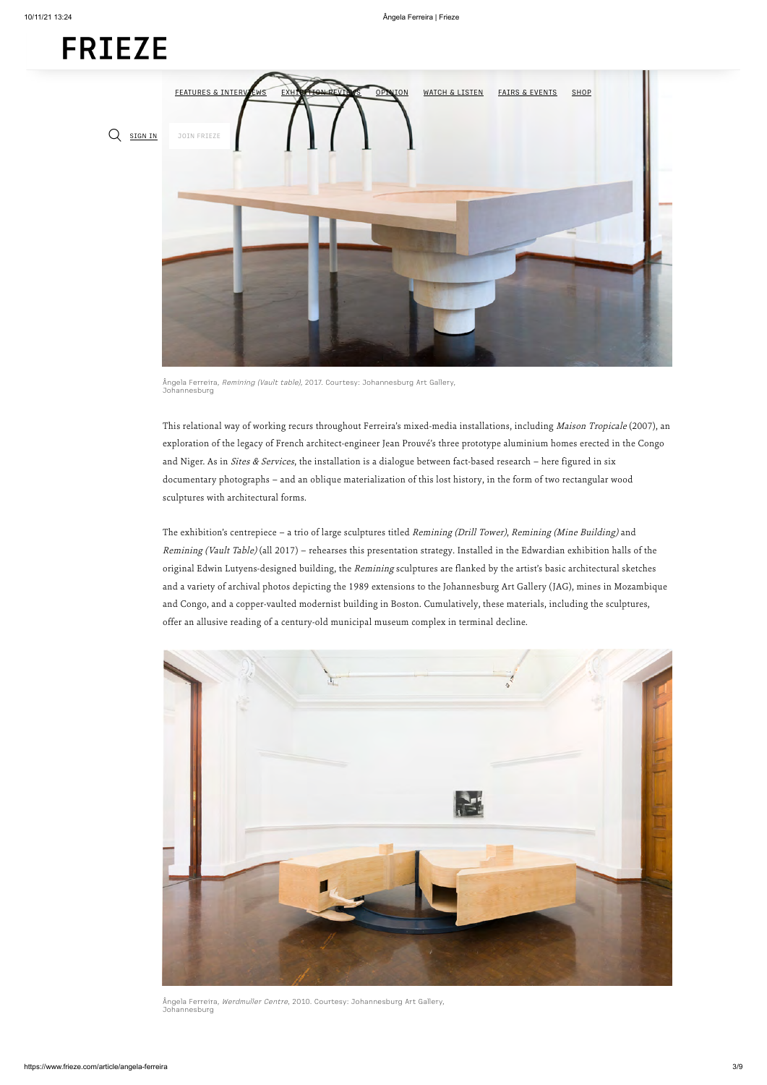This relational way of working recurs throughout Ferreira's mixed-media installations, including Maison Tropicale (2007), an exploration of the legacy of French architect-engineer Jean Prouvé's three prototype aluminium homes erected in the Congo and Niger. As in Sites & Services, the installation is a dialogue between fact-based research - here figured in six documentary photographs – and an oblique materialization of this lost history, in the form of two rectangular wood sculptures with architectural forms.

The exhibition's centrepiece – a trio of large sculptures titled Remining (Drill Tower), Remining (Mine Building) and Remining (Vault Table) (all 2017) – rehearses this presentation strategy. Installed in the Edwardian exhibition halls of the original Edwin Lutyens-designed building, the Remining sculptures are flanked by the artist's basic architectural sketches and a variety of archival photos depicting the 1989 extensions to the Johannesburg Art Gallery (JAG), mines in Mozambique and Congo, and a copper-vaulted modernist building in Boston. Cumulatively, these materials, including the sculptures, offer an allusive reading of a century-old municipal museum complex in terminal decline.





Ângela Ferreira, Remining (Vault table), 2017. Courtesy: Johannesburg Art Gallery, Johannesburg

Ângela Ferreira, Werdmuller Centre, 2010. Courtesy: Johannesburg Art Gallery, Johannesburg